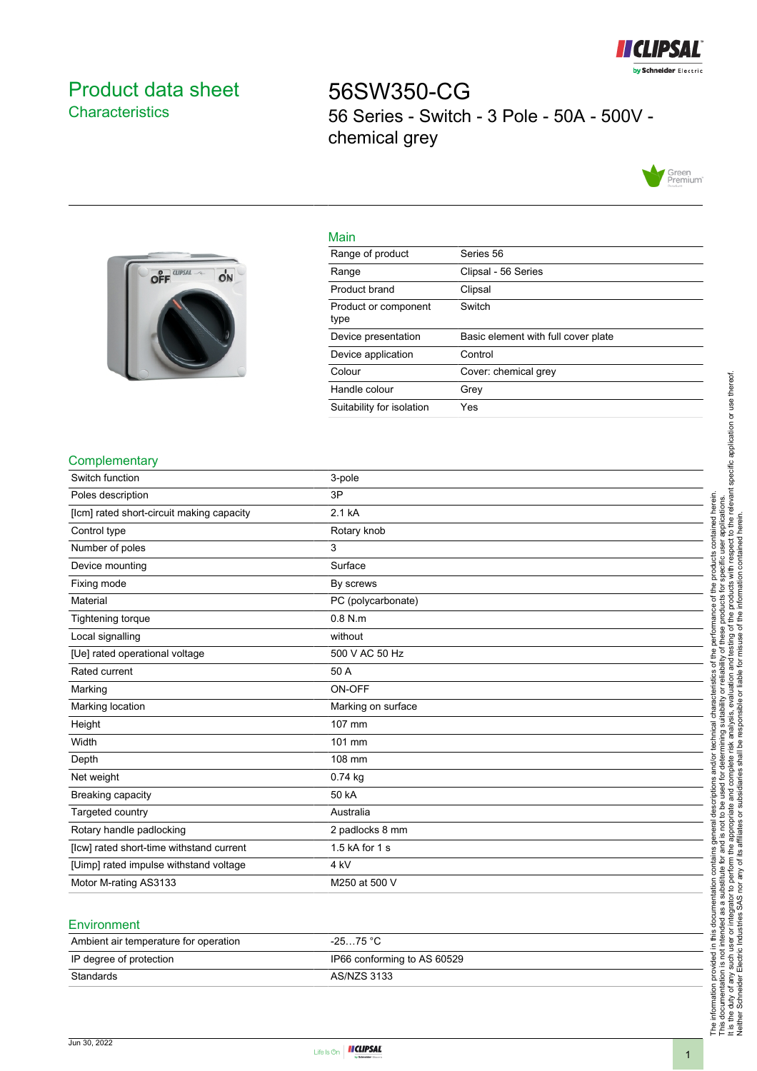

# <span id="page-0-0"></span>Product data sheet **Characteristics**

56SW350-CG 56 Series - Switch - 3 Pole - 50A - 500V chemical grey





| Range of product | Series 56           |
|------------------|---------------------|
| Range            | Clipsal - 56 Series |
| Product brand    | Clipsal             |

Main

| Product brand                | Clipsal                             |
|------------------------------|-------------------------------------|
| Product or component<br>type | Switch                              |
| Device presentation          | Basic element with full cover plate |
| Device application           | Control                             |
| Colour                       | Cover: chemical grey                |
| Handle colour                | Grey                                |
| Suitability for isolation    | Yes                                 |

#### **Complementary**

| Switch function                           | 3-pole             |
|-------------------------------------------|--------------------|
| Poles description                         | 3P                 |
| [lcm] rated short-circuit making capacity | 2.1 kA             |
| Control type                              | Rotary knob        |
| Number of poles                           | 3                  |
| Device mounting                           | Surface            |
| Fixing mode                               | By screws          |
| Material                                  | PC (polycarbonate) |
| Tightening torque                         | $0.8$ N.m          |
| Local signalling                          | without            |
| [Ue] rated operational voltage            | 500 V AC 50 Hz     |
| Rated current                             | 50 A               |
| Marking                                   | ON-OFF             |
| Marking location                          | Marking on surface |
| Height                                    | 107 mm             |
| Width                                     | 101 mm             |
| Depth                                     | 108 mm             |
| Net weight                                | $0.74$ kg          |
| Breaking capacity                         | 50 kA              |
| Targeted country                          | Australia          |
| Rotary handle padlocking                  | 2 padlocks 8 mm    |
| [lcw] rated short-time withstand current  | 1.5 kA for 1 s     |
| [Uimp] rated impulse withstand voltage    | 4 kV               |
| Motor M-rating AS3133                     | M250 at 500 V      |
|                                           |                    |

#### **Environment**

| Ambient air temperature for operation | -25…75 °C                   |
|---------------------------------------|-----------------------------|
| IP degree of protection               | IP66 conforming to AS 60529 |
| Standards                             | AS/NZS 3133                 |